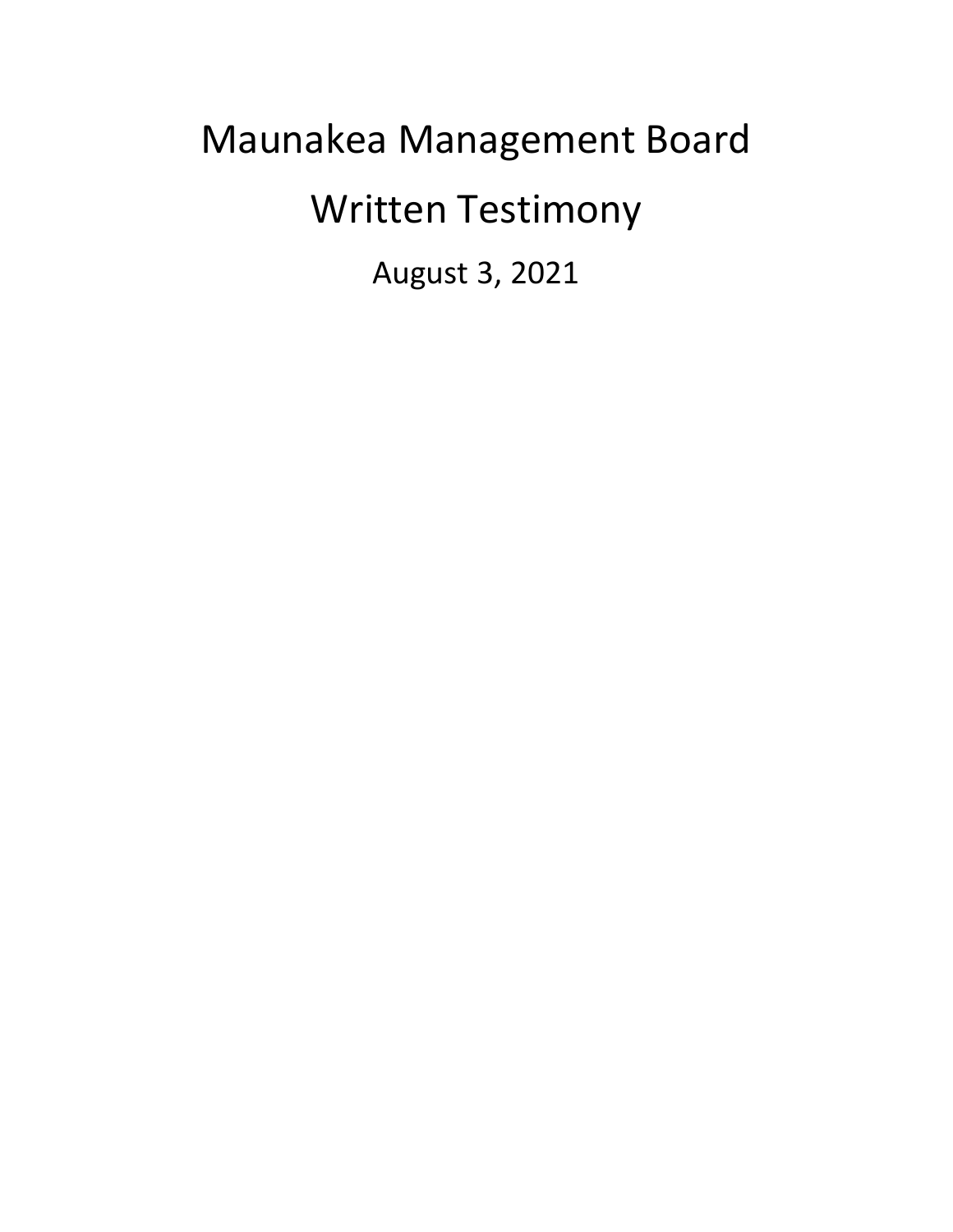## Maunakea Management Board Written Testimony August 3, 2021